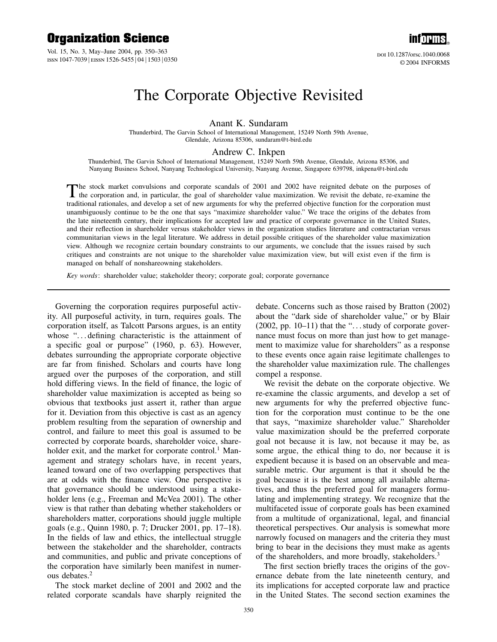Vol. 15, No. 3, May–June 2004, pp. 350–363 ISSN 1047-7039 | EISSN 1526-5455 | 04 | 1503 | 0350



doi 10.1287/orsc.1040.0068 © 2004 INFORMS

# The Corporate Objective Revisited

Anant K. Sundaram

Thunderbird, The Garvin School of International Management, 15249 North 59th Avenue, Glendale, Arizona 85306, sundaram@t-bird.edu

Andrew C. Inkpen

Thunderbird, The Garvin School of International Management, 15249 North 59th Avenue, Glendale, Arizona 85306, and Nanyang Business School, Nanyang Technological University, Nanyang Avenue, Singapore 639798, inkpena@t-bird.edu

The stock market convulsions and corporate scandals of 2001 and 2002 have reignited debate on the purposes of<br>the corporation and, in particular, the goal of shareholder value maximization. We revisit the debate, re-examin traditional rationales, and develop a set of new arguments for why the preferred objective function for the corporation must unambiguously continue to be the one that says "maximize shareholder value." We trace the origins of the debates from the late nineteenth century, their implications for accepted law and practice of corporate governance in the United States, and their reflection in shareholder versus stakeholder views in the organization studies literature and contractarian versus communitarian views in the legal literature. We address in detail possible critiques of the shareholder value maximization view. Although we recognize certain boundary constraints to our arguments, we conclude that the issues raised by such critiques and constraints are not unique to the shareholder value maximization view, but will exist even if the firm is managed on behalf of nonshareowning stakeholders.

Key words: shareholder value; stakeholder theory; corporate goal; corporate governance

Governing the corporation requires purposeful activity. All purposeful activity, in turn, requires goals. The corporation itself, as Talcott Parsons argues, is an entity whose " $\dots$  defining characteristic is the attainment of a specific goal or purpose" (1960, p. 63). However, debates surrounding the appropriate corporate objective are far from finished. Scholars and courts have long argued over the purposes of the corporation, and still hold differing views. In the field of finance, the logic of shareholder value maximization is accepted as being so obvious that textbooks just assert it, rather than argue for it. Deviation from this objective is cast as an agency problem resulting from the separation of ownership and control, and failure to meet this goal is assumed to be corrected by corporate boards, shareholder voice, shareholder exit, and the market for corporate control.<sup>1</sup> Management and strategy scholars have, in recent years, leaned toward one of two overlapping perspectives that are at odds with the finance view. One perspective is that governance should be understood using a stakeholder lens (e.g., Freeman and McVea 2001). The other view is that rather than debating whether stakeholders or shareholders matter, corporations should juggle multiple goals (e.g., Quinn 1980, p. 7; Drucker 2001, pp. 17–18). In the fields of law and ethics, the intellectual struggle between the stakeholder and the shareholder, contracts and communities, and public and private conceptions of the corporation have similarly been manifest in numerous debates.<sup>2</sup>

The stock market decline of 2001 and 2002 and the related corporate scandals have sharply reignited the debate. Concerns such as those raised by Bratton (2002) about the "dark side of shareholder value," or by Blair  $(2002, pp. 10-11)$  that the "... study of corporate governance must focus on more than just how to get management to maximize value for shareholders" as a response to these events once again raise legitimate challenges to the shareholder value maximization rule. The challenges compel a response.

We revisit the debate on the corporate objective. We re-examine the classic arguments, and develop a set of new arguments for why the preferred objective function for the corporation must continue to be the one that says, "maximize shareholder value." Shareholder value maximization should be the preferred corporate goal not because it is law, not because it may be, as some argue, the ethical thing to do, nor because it is expedient because it is based on an observable and measurable metric. Our argument is that it should be the goal because it is the best among all available alternatives, and thus the preferred goal for managers formulating and implementing strategy. We recognize that the multifaceted issue of corporate goals has been examined from a multitude of organizational, legal, and financial theoretical perspectives. Our analysis is somewhat more narrowly focused on managers and the criteria they must bring to bear in the decisions they must make as agents of the shareholders, and more broadly, stakeholders.<sup>3</sup>

The first section briefly traces the origins of the governance debate from the late nineteenth century, and its implications for accepted corporate law and practice in the United States. The second section examines the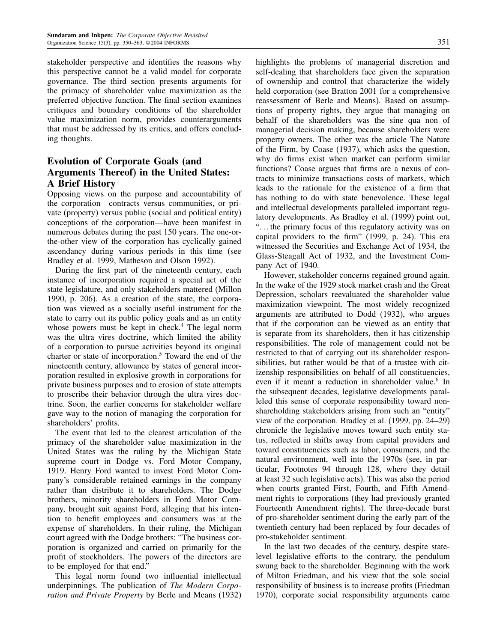stakeholder perspective and identifies the reasons why this perspective cannot be a valid model for corporate governance. The third section presents arguments for the primacy of shareholder value maximization as the preferred objective function. The final section examines critiques and boundary conditions of the shareholder value maximization norm, provides counterarguments that must be addressed by its critics, and offers concluding thoughts.

# Evolution of Corporate Goals (and Arguments Thereof) in the United States: A Brief History

Opposing views on the purpose and accountability of the corporation—contracts versus communities, or private (property) versus public (social and political entity) conceptions of the corporation—have been manifest in numerous debates during the past 150 years. The one-orthe-other view of the corporation has cyclically gained ascendancy during various periods in this time (see Bradley et al. 1999, Matheson and Olson 1992).

During the first part of the nineteenth century, each instance of incorporation required a special act of the state legislature, and only stakeholders mattered (Millon 1990, p. 206). As a creation of the state, the corporation was viewed as a socially useful instrument for the state to carry out its public policy goals and as an entity whose powers must be kept in check. $4$  The legal norm was the ultra vires doctrine, which limited the ability of a corporation to pursue activities beyond its original charter or state of incorporation.<sup>5</sup> Toward the end of the nineteenth century, allowance by states of general incorporation resulted in explosive growth in corporations for private business purposes and to erosion of state attempts to proscribe their behavior through the ultra vires doctrine. Soon, the earlier concerns for stakeholder welfare gave way to the notion of managing the corporation for shareholders' profits.

The event that led to the clearest articulation of the primacy of the shareholder value maximization in the United States was the ruling by the Michigan State supreme court in Dodge vs. Ford Motor Company, 1919. Henry Ford wanted to invest Ford Motor Company's considerable retained earnings in the company rather than distribute it to shareholders. The Dodge brothers, minority shareholders in Ford Motor Company, brought suit against Ford, alleging that his intention to benefit employees and consumers was at the expense of shareholders. In their ruling, the Michigan court agreed with the Dodge brothers: "The business corporation is organized and carried on primarily for the profit of stockholders. The powers of the directors are to be employed for that end."

This legal norm found two influential intellectual underpinnings. The publication of The Modern Corporation and Private Property by Berle and Means (1932) highlights the problems of managerial discretion and self-dealing that shareholders face given the separation of ownership and control that characterize the widely held corporation (see Bratton 2001 for a comprehensive reassessment of Berle and Means). Based on assumptions of property rights, they argue that managing on behalf of the shareholders was the sine qua non of managerial decision making, because shareholders were property owners. The other was the article The Nature of the Firm, by Coase (1937), which asks the question, why do firms exist when market can perform similar functions? Coase argues that firms are a nexus of contracts to minimize transactions costs of markets, which leads to the rationale for the existence of a firm that has nothing to do with state benevolence. These legal and intellectual developments paralleled important regulatory developments. As Bradley et al. (1999) point out, "... the primary focus of this regulatory activity was on capital providers to the firm" (1999, p. 24). This era witnessed the Securities and Exchange Act of 1934, the Glass-Steagall Act of 1932, and the Investment Company Act of 1940.

However, stakeholder concerns regained ground again. In the wake of the 1929 stock market crash and the Great Depression, scholars reevaluated the shareholder value maximization viewpoint. The most widely recognized arguments are attributed to Dodd (1932), who argues that if the corporation can be viewed as an entity that is separate from its shareholders, then it has citizenship responsibilities. The role of management could not be restricted to that of carrying out its shareholder responsibilities, but rather would be that of a trustee with citizenship responsibilities on behalf of all constituencies, even if it meant a reduction in shareholder value.<sup>6</sup> In the subsequent decades, legislative developments paralleled this sense of corporate responsibility toward nonshareholding stakeholders arising from such an "entity" view of the corporation. Bradley et al. (1999, pp. 24–29) chronicle the legislative moves toward such entity status, reflected in shifts away from capital providers and toward constituencies such as labor, consumers, and the natural environment, well into the 1970s (see, in particular, Footnotes 94 through 128, where they detail at least 32 such legislative acts). This was also the period when courts granted First, Fourth, and Fifth Amendment rights to corporations (they had previously granted Fourteenth Amendment rights). The three-decade burst of pro-shareholder sentiment during the early part of the twentieth century had been replaced by four decades of pro-stakeholder sentiment.

In the last two decades of the century, despite statelevel legislative efforts to the contrary, the pendulum swung back to the shareholder. Beginning with the work of Milton Friedman, and his view that the sole social responsibility of business is to increase profits (Friedman 1970), corporate social responsibility arguments came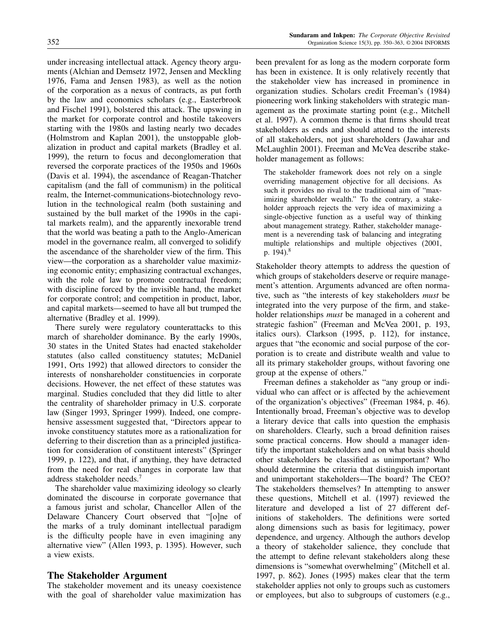under increasing intellectual attack. Agency theory arguments (Alchian and Demsetz 1972, Jensen and Meckling 1976, Fama and Jensen 1983), as well as the notion of the corporation as a nexus of contracts, as put forth by the law and economics scholars (e.g., Easterbrook and Fischel 1991), bolstered this attack. The upswing in the market for corporate control and hostile takeovers starting with the 1980s and lasting nearly two decades (Holmstrom and Kaplan 2001), the unstoppable globalization in product and capital markets (Bradley et al. 1999), the return to focus and deconglomeration that reversed the corporate practices of the 1950s and 1960s (Davis et al. 1994), the ascendance of Reagan-Thatcher capitalism (and the fall of communism) in the political realm, the Internet-communications-biotechnology revolution in the technological realm (both sustaining and sustained by the bull market of the 1990s in the capital markets realm), and the apparently inexorable trend that the world was beating a path to the Anglo-American model in the governance realm, all converged to solidify the ascendance of the shareholder view of the firm. This view—the corporation as a shareholder value maximizing economic entity; emphasizing contractual exchanges, with the role of law to promote contractual freedom; with discipline forced by the invisible hand, the market for corporate control; and competition in product, labor, and capital markets—seemed to have all but trumped the alternative (Bradley et al. 1999).

There surely were regulatory counterattacks to this march of shareholder dominance. By the early 1990s, 30 states in the United States had enacted stakeholder statutes (also called constituency statutes; McDaniel 1991, Orts 1992) that allowed directors to consider the interests of nonshareholder constituencies in corporate decisions. However, the net effect of these statutes was marginal. Studies concluded that they did little to alter the centrality of shareholder primacy in U.S. corporate law (Singer 1993, Springer 1999). Indeed, one comprehensive assessment suggested that, "Directors appear to invoke constituency statutes more as a rationalization for deferring to their discretion than as a principled justification for consideration of constituent interests" (Springer 1999, p. 122), and that, if anything, they have detracted from the need for real changes in corporate law that address stakeholder needs.<sup>7</sup>

The shareholder value maximizing ideology so clearly dominated the discourse in corporate governance that a famous jurist and scholar, Chancellor Allen of the Delaware Chancery Court observed that "[o]ne of the marks of a truly dominant intellectual paradigm is the difficulty people have in even imagining any alternative view" (Allen 1993, p. 1395). However, such a view exists.

#### The Stakeholder Argument

The stakeholder movement and its uneasy coexistence with the goal of shareholder value maximization has

been prevalent for as long as the modern corporate form has been in existence. It is only relatively recently that the stakeholder view has increased in prominence in organization studies. Scholars credit Freeman's (1984) pioneering work linking stakeholders with strategic management as the proximate starting point (e.g., Mitchell et al. 1997). A common theme is that firms should treat stakeholders as ends and should attend to the interests of all stakeholders, not just shareholders (Jawahar and McLaughlin 2001). Freeman and McVea describe stakeholder management as follows:

The stakeholder framework does not rely on a single overriding management objective for all decisions. As such it provides no rival to the traditional aim of "maximizing shareholder wealth." To the contrary, a stakeholder approach rejects the very idea of maximizing a single-objective function as a useful way of thinking about management strategy. Rather, stakeholder management is a neverending task of balancing and integrating multiple relationships and multiple objectives (2001, p. 194).<sup>8</sup>

Stakeholder theory attempts to address the question of which groups of stakeholders deserve or require management's attention. Arguments advanced are often normative, such as "the interests of key stakeholders *must* be integrated into the very purpose of the firm, and stakeholder relationships *must* be managed in a coherent and strategic fashion" (Freeman and McVea 2001, p. 193, italics ours). Clarkson (1995, p. 112), for instance, argues that "the economic and social purpose of the corporation is to create and distribute wealth and value to all its primary stakeholder groups, without favoring one group at the expense of others."

Freeman defines a stakeholder as "any group or individual who can affect or is affected by the achievement of the organization's objectives" (Freeman 1984, p. 46). Intentionally broad, Freeman's objective was to develop a literary device that calls into question the emphasis on shareholders. Clearly, such a broad definition raises some practical concerns. How should a manager identify the important stakeholders and on what basis should other stakeholders be classified as unimportant? Who should determine the criteria that distinguish important and unimportant stakeholders—The board? The CEO? The stakeholders themselves? In attempting to answer these questions, Mitchell et al. (1997) reviewed the literature and developed a list of 27 different definitions of stakeholders. The definitions were sorted along dimensions such as basis for legitimacy, power dependence, and urgency. Although the authors develop a theory of stakeholder salience, they conclude that the attempt to define relevant stakeholders along these dimensions is "somewhat overwhelming" (Mitchell et al. 1997, p. 862). Jones (1995) makes clear that the term stakeholder applies not only to groups such as customers or employees, but also to subgroups of customers (e.g.,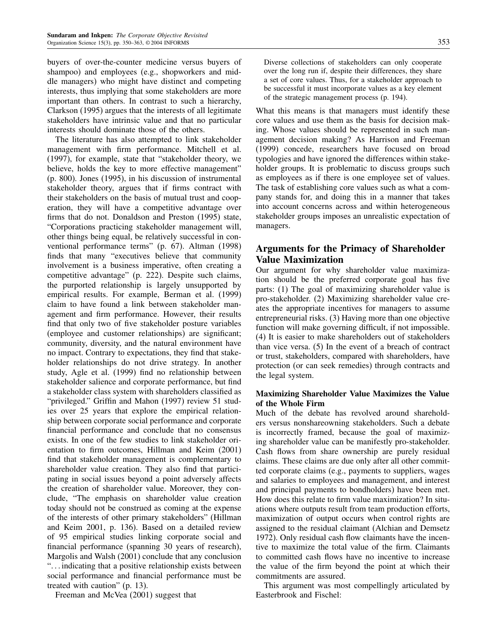buyers of over-the-counter medicine versus buyers of shampoo) and employees (e.g., shopworkers and middle managers) who might have distinct and competing interests, thus implying that some stakeholders are more important than others. In contrast to such a hierarchy, Clarkson (1995) argues that the interests of all legitimate stakeholders have intrinsic value and that no particular interests should dominate those of the others.

The literature has also attempted to link stakeholder management with firm performance. Mitchell et al. (1997), for example, state that "stakeholder theory, we believe, holds the key to more effective management" (p. 800). Jones (1995), in his discussion of instrumental stakeholder theory, argues that if firms contract with their stakeholders on the basis of mutual trust and cooperation, they will have a competitive advantage over firms that do not. Donaldson and Preston (1995) state, "Corporations practicing stakeholder management will, other things being equal, be relatively successful in conventional performance terms" (p. 67). Altman (1998) finds that many "executives believe that community involvement is a business imperative, often creating a competitive advantage" (p. 222). Despite such claims, the purported relationship is largely unsupported by empirical results. For example, Berman et al. (1999) claim to have found a link between stakeholder management and firm performance. However, their results find that only two of five stakeholder posture variables (employee and customer relationships) are significant; community, diversity, and the natural environment have no impact. Contrary to expectations, they find that stakeholder relationships do not drive strategy. In another study, Agle et al. (1999) find no relationship between stakeholder salience and corporate performance, but find a stakeholder class system with shareholders classified as "privileged." Griffin and Mahon (1997) review 51 studies over 25 years that explore the empirical relationship between corporate social performance and corporate financial performance and conclude that no consensus exists. In one of the few studies to link stakeholder orientation to firm outcomes, Hillman and Keim (2001) find that stakeholder management is complementary to shareholder value creation. They also find that participating in social issues beyond a point adversely affects the creation of shareholder value. Moreover, they conclude, "The emphasis on shareholder value creation today should not be construed as coming at the expense of the interests of other primary stakeholders" (Hillman and Keim 2001, p. 136). Based on a detailed review of 95 empirical studies linking corporate social and financial performance (spanning 30 years of research), Margolis and Walsh (2001) conclude that any conclusion "... indicating that a positive relationship exists between social performance and financial performance must be treated with caution" (p. 13).

Freeman and McVea (2001) suggest that

Diverse collections of stakeholders can only cooperate over the long run if, despite their differences, they share a set of core values. Thus, for a stakeholder approach to be successful it must incorporate values as a key element of the strategic management process (p. 194).

What this means is that managers must identify these core values and use them as the basis for decision making. Whose values should be represented in such management decision making? As Harrison and Freeman (1999) concede, researchers have focused on broad typologies and have ignored the differences within stakeholder groups. It is problematic to discuss groups such as employees as if there is one employee set of values. The task of establishing core values such as what a company stands for, and doing this in a manner that takes into account concerns across and within heterogeneous stakeholder groups imposes an unrealistic expectation of managers.

## Arguments for the Primacy of Shareholder Value Maximization

Our argument for why shareholder value maximization should be the preferred corporate goal has five parts: (1) The goal of maximizing shareholder value is pro-stakeholder. (2) Maximizing shareholder value creates the appropriate incentives for managers to assume entrepreneurial risks. (3) Having more than one objective function will make governing difficult, if not impossible. (4) It is easier to make shareholders out of stakeholders than vice versa. (5) In the event of a breach of contract or trust, stakeholders, compared with shareholders, have protection (or can seek remedies) through contracts and the legal system.

#### Maximizing Shareholder Value Maximizes the Value of the Whole Firm

Much of the debate has revolved around shareholders versus nonshareowning stakeholders. Such a debate is incorrectly framed, because the goal of maximizing shareholder value can be manifestly pro-stakeholder. Cash flows from share ownership are purely residual claims. These claims are due only after all other committed corporate claims (e.g., payments to suppliers, wages and salaries to employees and management, and interest and principal payments to bondholders) have been met. How does this relate to firm value maximization? In situations where outputs result from team production efforts, maximization of output occurs when control rights are assigned to the residual claimant (Alchian and Demsetz 1972). Only residual cash flow claimants have the incentive to maximize the total value of the firm. Claimants to committed cash flows have no incentive to increase the value of the firm beyond the point at which their commitments are assured.

This argument was most compellingly articulated by Easterbrook and Fischel: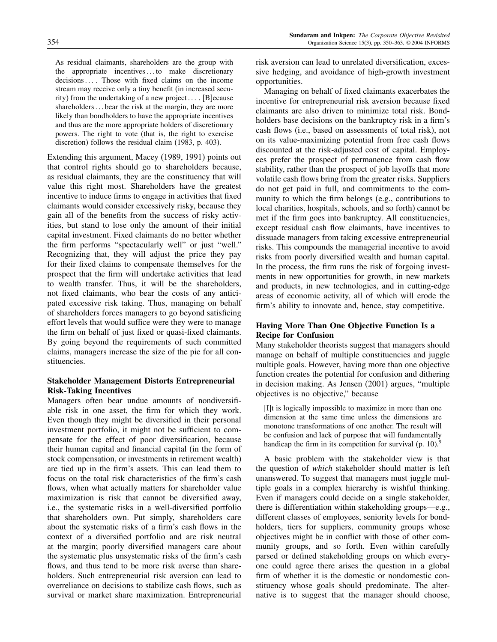As residual claimants, shareholders are the group with the appropriate incentives...to make discretionary decisions ... Those with fixed claims on the income stream may receive only a tiny benefit (in increased security) from the undertaking of a new project... [B] ecause shareholders  $\dots$  bear the risk at the margin, they are more likely than bondholders to have the appropriate incentives and thus are the more appropriate holders of discretionary powers. The right to vote (that is, the right to exercise discretion) follows the residual claim (1983, p. 403).

Extending this argument, Macey (1989, 1991) points out that control rights should go to shareholders because, as residual claimants, they are the constituency that will value this right most. Shareholders have the greatest incentive to induce firms to engage in activities that fixed claimants would consider excessively risky, because they gain all of the benefits from the success of risky activities, but stand to lose only the amount of their initial capital investment. Fixed claimants do no better whether the firm performs "spectacularly well" or just "well." Recognizing that, they will adjust the price they pay for their fixed claims to compensate themselves for the prospect that the firm will undertake activities that lead to wealth transfer. Thus, it will be the shareholders, not fixed claimants, who bear the costs of any anticipated excessive risk taking. Thus, managing on behalf of shareholders forces managers to go beyond satisficing effort levels that would suffice were they were to manage the firm on behalf of just fixed or quasi-fixed claimants. By going beyond the requirements of such committed claims, managers increase the size of the pie for all constituencies.

#### Stakeholder Management Distorts Entrepreneurial Risk-Taking Incentives

Managers often bear undue amounts of nondiversifiable risk in one asset, the firm for which they work. Even though they might be diversified in their personal investment portfolio, it might not be sufficient to compensate for the effect of poor diversification, because their human capital and financial capital (in the form of stock compensation, or investments in retirement wealth) are tied up in the firm's assets. This can lead them to focus on the total risk characteristics of the firm's cash flows, when what actually matters for shareholder value maximization is risk that cannot be diversified away, i.e., the systematic risks in a well-diversified portfolio that shareholders own. Put simply, shareholders care about the systematic risks of a firm's cash flows in the context of a diversified portfolio and are risk neutral at the margin; poorly diversified managers care about the systematic plus unsystematic risks of the firm's cash flows, and thus tend to be more risk averse than shareholders. Such entrepreneurial risk aversion can lead to overreliance on decisions to stabilize cash flows, such as survival or market share maximization. Entrepreneurial

risk aversion can lead to unrelated diversification, excessive hedging, and avoidance of high-growth investment opportunities.

Managing on behalf of fixed claimants exacerbates the incentive for entrepreneurial risk aversion because fixed claimants are also driven to minimize total risk. Bondholders base decisions on the bankruptcy risk in a firm's cash flows (i.e., based on assessments of total risk), not on its value-maximizing potential from free cash flows discounted at the risk-adjusted cost of capital. Employees prefer the prospect of permanence from cash flow stability, rather than the prospect of job layoffs that more volatile cash flows bring from the greater risks. Suppliers do not get paid in full, and commitments to the community to which the firm belongs (e.g., contributions to local charities, hospitals, schools, and so forth) cannot be met if the firm goes into bankruptcy. All constituencies, except residual cash flow claimants, have incentives to dissuade managers from taking excessive entrepreneurial risks. This compounds the managerial incentive to avoid risks from poorly diversified wealth and human capital. In the process, the firm runs the risk of forgoing investments in new opportunities for growth, in new markets and products, in new technologies, and in cutting-edge areas of economic activity, all of which will erode the firm's ability to innovate and, hence, stay competitive.

#### Having More Than One Objective Function Is a Recipe for Confusion

Many stakeholder theorists suggest that managers should manage on behalf of multiple constituencies and juggle multiple goals. However, having more than one objective function creates the potential for confusion and dithering in decision making. As Jensen (2001) argues, "multiple objectives is no objective," because

[I]t is logically impossible to maximize in more than one dimension at the same time unless the dimensions are monotone transformations of one another. The result will be confusion and lack of purpose that will fundamentally handicap the firm in its competition for survival  $(p. 10)^9$ .

A basic problem with the stakeholder view is that the question of which stakeholder should matter is left unanswered. To suggest that managers must juggle multiple goals in a complex hierarchy is wishful thinking. Even if managers could decide on a single stakeholder, there is differentiation within stakeholding groups—e.g., different classes of employees, seniority levels for bondholders, tiers for suppliers, community groups whose objectives might be in conflict with those of other community groups, and so forth. Even within carefully parsed or defined stakeholding groups on which everyone could agree there arises the question in a global firm of whether it is the domestic or nondomestic constituency whose goals should predominate. The alternative is to suggest that the manager should choose,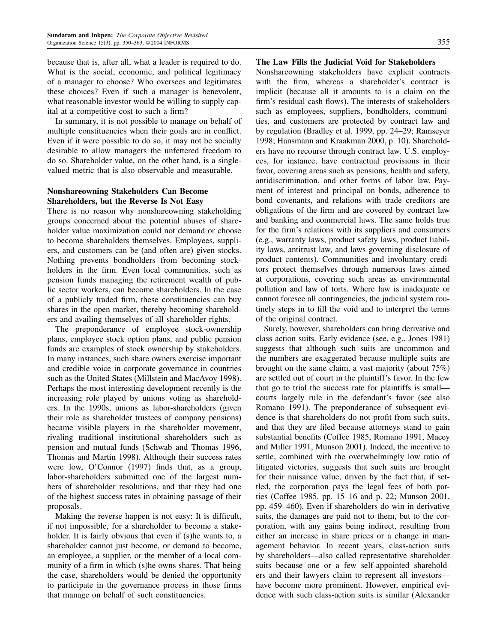because that is, after all, what a leader is required to do. What is the social, economic, and political legitimacy of a manager to choose? Who oversees and legitimates these choices? Even if such a manager is benevolent, what reasonable investor would be willing to supply capital at a competitive cost to such a firm?

In summary, it is not possible to manage on behalf of multiple constituencies when their goals are in conflict. Even if it were possible to do so, it may not be socially desirable to allow managers the unfettered freedom to do so. Shareholder value, on the other hand, is a singlevalued metric that is also observable and measurable.

#### Nonshareowning Stakeholders Can Become Shareholders, but the Reverse Is Not Easy

There is no reason why nonshareowning stakeholding groups concerned about the potential abuses of shareholder value maximization could not demand or choose to become shareholders themselves. Employees, suppliers, and customers can be (and often are) given stocks. Nothing prevents bondholders from becoming stockholders in the firm. Even local communities, such as pension funds managing the retirement wealth of public sector workers, can become shareholders. In the case of a publicly traded firm, these constituencies can buy shares in the open market, thereby becoming shareholders and availing themselves of all shareholder rights.

The preponderance of employee stock-ownership plans, employee stock option plans, and public pension funds are examples of stock ownership by stakeholders. In many instances, such share owners exercise important and credible voice in corporate governance in countries such as the United States (Millstein and MacAvoy 1998). Perhaps the most interesting development recently is the increasing role played by unions voting as shareholders. In the 1990s, unions as labor-shareholders (given their role as shareholder trustees of company pensions) became visible players in the shareholder movement, rivaling traditional institutional shareholders such as pension and mutual funds (Schwab and Thomas 1996, Thomas and Martin 1998). Although their success rates were low, O'Connor (1997) finds that, as a group, labor-shareholders submitted one of the largest numbers of shareholder resolutions, and that they had one of the highest success rates in obtaining passage of their proposals.

Making the reverse happen is not easy: It is difficult, if not impossible, for a shareholder to become a stakeholder. It is fairly obvious that even if (s) he wants to, a shareholder cannot just become, or demand to become, an employee, a supplier, or the member of a local community of a firm in which (s)he owns shares. That being the case, shareholders would be denied the opportunity to participate in the governance process in those firms that manage on behalf of such constituencies.

#### The Law Fills the Judicial Void for Stakeholders

Nonshareowning stakeholders have explicit contracts with the firm, whereas a shareholder's contract is implicit (because all it amounts to is a claim on the firm's residual cash flows). The interests of stakeholders such as employees, suppliers, bondholders, communities, and customers are protected by contract law and by regulation (Bradley et al. 1999, pp. 24–29; Ramseyer 1998; Hansmann and Kraakman 2000, p. 10). Shareholders have no recourse through contract law. U.S. employees, for instance, have contractual provisions in their favor, covering areas such as pensions, health and safety, antidiscrimination, and other forms of labor law. Payment of interest and principal on bonds, adherence to bond covenants, and relations with trade creditors are obligations of the firm and are covered by contract law and banking and commercial laws. The same holds true for the firm's relations with its suppliers and consumers (e.g., warranty laws, product safety laws, product liability laws, antitrust law, and laws governing disclosure of product contents). Communities and involuntary creditors protect themselves through numerous laws aimed at corporations, covering such areas as environmental pollution and law of torts. Where law is inadequate or cannot foresee all contingencies, the judicial system routinely steps in to fill the void and to interpret the terms of the original contract.

Surely, however, shareholders can bring derivative and class action suits. Early evidence (see, e.g., Jones 1981) suggests that although such suits are uncommon and the numbers are exaggerated because multiple suits are brought on the same claim, a vast majority (about 75%) are settled out of court in the plaintiff's favor. In the few that go to trial the success rate for plaintiffs is small courts largely rule in the defendant's favor (see also Romano 1991). The preponderance of subsequent evidence is that shareholders do not profit from such suits, and that they are filed because attorneys stand to gain substantial benefits (Coffee 1985, Romano 1991, Macey and Miller 1991, Munson 2001). Indeed, the incentive to settle, combined with the overwhelmingly low ratio of litigated victories, suggests that such suits are brought for their nuisance value, driven by the fact that, if settled, the corporation pays the legal fees of both parties (Coffee 1985, pp. 15–16 and p. 22; Munson 2001, pp. 459–460). Even if shareholders do win in derivative suits, the damages are paid not to them, but to the corporation, with any gains being indirect, resulting from either an increase in share prices or a change in management behavior. In recent years, class-action suits by shareholders—also called representative shareholder suits because one or a few self-appointed shareholders and their lawyers claim to represent all investors have become more prominent. However, empirical evidence with such class-action suits is similar (Alexander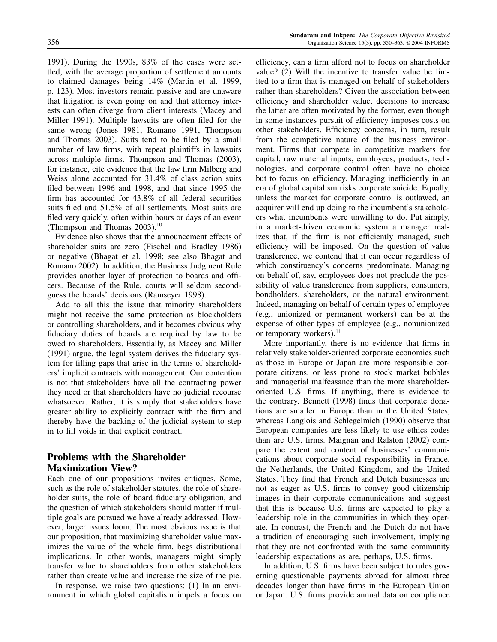1991). During the 1990s, 83% of the cases were settled, with the average proportion of settlement amounts to claimed damages being 14% (Martin et al. 1999, p. 123). Most investors remain passive and are unaware that litigation is even going on and that attorney interests can often diverge from client interests (Macey and Miller 1991). Multiple lawsuits are often filed for the same wrong (Jones 1981, Romano 1991, Thompson and Thomas 2003). Suits tend to be filed by a small number of law firms, with repeat plaintiffs in lawsuits across multiple firms. Thompson and Thomas (2003), for instance, cite evidence that the law firm Milberg and Weiss alone accounted for 31.4% of class action suits filed between 1996 and 1998, and that since 1995 the firm has accounted for 43.8% of all federal securities suits filed and 51.5% of all settlements. Most suits are filed very quickly, often within hours or days of an event (Thompson and Thomas  $2003$ ).<sup>10</sup>

Evidence also shows that the announcement effects of shareholder suits are zero (Fischel and Bradley 1986) or negative (Bhagat et al. 1998; see also Bhagat and Romano 2002). In addition, the Business Judgment Rule provides another layer of protection to boards and officers. Because of the Rule, courts will seldom secondguess the boards' decisions (Ramseyer 1998).

Add to all this the issue that minority shareholders might not receive the same protection as blockholders or controlling shareholders, and it becomes obvious why fiduciary duties of boards are required by law to be owed to shareholders. Essentially, as Macey and Miller (1991) argue, the legal system derives the fiduciary system for filling gaps that arise in the terms of shareholders' implicit contracts with management. Our contention is not that stakeholders have all the contracting power they need or that shareholders have no judicial recourse whatsoever. Rather, it is simply that stakeholders have greater ability to explicitly contract with the firm and thereby have the backing of the judicial system to step in to fill voids in that explicit contract.

### Problems with the Shareholder Maximization View?

Each one of our propositions invites critiques. Some, such as the role of stakeholder statutes, the role of shareholder suits, the role of board fiduciary obligation, and the question of which stakeholders should matter if multiple goals are pursued we have already addressed. However, larger issues loom. The most obvious issue is that our proposition, that maximizing shareholder value maximizes the value of the whole firm, begs distributional implications. In other words, managers might simply transfer value to shareholders from other stakeholders rather than create value and increase the size of the pie.

In response, we raise two questions: (1) In an environment in which global capitalism impels a focus on efficiency, can a firm afford not to focus on shareholder value? (2) Will the incentive to transfer value be limited to a firm that is managed on behalf of stakeholders rather than shareholders? Given the association between efficiency and shareholder value, decisions to increase the latter are often motivated by the former, even though in some instances pursuit of efficiency imposes costs on other stakeholders. Efficiency concerns, in turn, result from the competitive nature of the business environment. Firms that compete in competitive markets for capital, raw material inputs, employees, products, technologies, and corporate control often have no choice but to focus on efficiency. Managing inefficiently in an era of global capitalism risks corporate suicide. Equally, unless the market for corporate control is outlawed, an acquirer will end up doing to the incumbent's stakeholders what incumbents were unwilling to do. Put simply, in a market-driven economic system a manager realizes that, if the firm is not efficiently managed, such efficiency will be imposed. On the question of value transference, we contend that it can occur regardless of which constituency's concerns predominate. Managing on behalf of, say, employees does not preclude the possibility of value transference from suppliers, consumers, bondholders, shareholders, or the natural environment. Indeed, managing on behalf of certain types of employee (e.g., unionized or permanent workers) can be at the expense of other types of employee (e.g., nonunionized or temporary workers). $^{11}$ 

More importantly, there is no evidence that firms in relatively stakeholder-oriented corporate economies such as those in Europe or Japan are more responsible corporate citizens, or less prone to stock market bubbles and managerial malfeasance than the more shareholderoriented U.S. firms. If anything, there is evidence to the contrary. Bennett (1998) finds that corporate donations are smaller in Europe than in the United States, whereas Langlois and Schlegelmich (1990) observe that European companies are less likely to use ethics codes than are U.S. firms. Maignan and Ralston (2002) compare the extent and content of businesses' communications about corporate social responsibility in France, the Netherlands, the United Kingdom, and the United States. They find that French and Dutch businesses are not as eager as U.S. firms to convey good citizenship images in their corporate communications and suggest that this is because U.S. firms are expected to play a leadership role in the communities in which they operate. In contrast, the French and the Dutch do not have a tradition of encouraging such involvement, implying that they are not confronted with the same community leadership expectations as are, perhaps, U.S. firms.

In addition, U.S. firms have been subject to rules governing questionable payments abroad for almost three decades longer than have firms in the European Union or Japan. U.S. firms provide annual data on compliance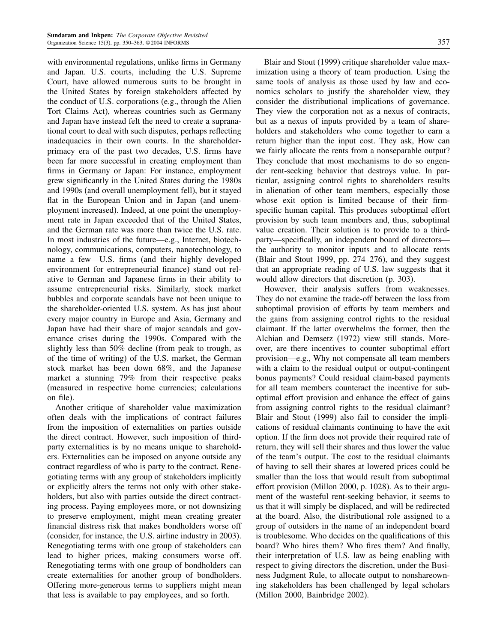with environmental regulations, unlike firms in Germany and Japan. U.S. courts, including the U.S. Supreme Court, have allowed numerous suits to be brought in the United States by foreign stakeholders affected by the conduct of U.S. corporations (e.g., through the Alien Tort Claims Act), whereas countries such as Germany and Japan have instead felt the need to create a supranational court to deal with such disputes, perhaps reflecting inadequacies in their own courts. In the shareholderprimacy era of the past two decades, U.S. firms have been far more successful in creating employment than firms in Germany or Japan: For instance, employment grew significantly in the United States during the 1980s and 1990s (and overall unemployment fell), but it stayed flat in the European Union and in Japan (and unemployment increased). Indeed, at one point the unemployment rate in Japan exceeded that of the United States, and the German rate was more than twice the U.S. rate. In most industries of the future—e.g., Internet, biotechnology, communications, computers, nanotechnology, to name a few—U.S. firms (and their highly developed environment for entrepreneurial finance) stand out relative to German and Japanese firms in their ability to assume entrepreneurial risks. Similarly, stock market bubbles and corporate scandals have not been unique to the shareholder-oriented U.S. system. As has just about every major country in Europe and Asia, Germany and Japan have had their share of major scandals and governance crises during the 1990s. Compared with the slightly less than 50% decline (from peak to trough, as of the time of writing) of the U.S. market, the German stock market has been down 68%, and the Japanese market a stunning 79% from their respective peaks (measured in respective home currencies; calculations on file).

Another critique of shareholder value maximization often deals with the implications of contract failures from the imposition of externalities on parties outside the direct contract. However, such imposition of thirdparty externalities is by no means unique to shareholders. Externalities can be imposed on anyone outside any contract regardless of who is party to the contract. Renegotiating terms with any group of stakeholders implicitly or explicitly alters the terms not only with other stakeholders, but also with parties outside the direct contracting process. Paying employees more, or not downsizing to preserve employment, might mean creating greater financial distress risk that makes bondholders worse off (consider, for instance, the U.S. airline industry in 2003). Renegotiating terms with one group of stakeholders can lead to higher prices, making consumers worse off. Renegotiating terms with one group of bondholders can create externalities for another group of bondholders. Offering more-generous terms to suppliers might mean that less is available to pay employees, and so forth.

Blair and Stout (1999) critique shareholder value maximization using a theory of team production. Using the same tools of analysis as those used by law and economics scholars to justify the shareholder view, they consider the distributional implications of governance. They view the corporation not as a nexus of contracts, but as a nexus of inputs provided by a team of shareholders and stakeholders who come together to earn a return higher than the input cost. They ask, How can we fairly allocate the rents from a nonseparable output? They conclude that most mechanisms to do so engender rent-seeking behavior that destroys value. In particular, assigning control rights to shareholders results in alienation of other team members, especially those whose exit option is limited because of their firmspecific human capital. This produces suboptimal effort provision by such team members and, thus, suboptimal value creation. Their solution is to provide to a thirdparty—specifically, an independent board of directors the authority to monitor inputs and to allocate rents (Blair and Stout 1999, pp. 274–276), and they suggest that an appropriate reading of U.S. law suggests that it would allow directors that discretion (p. 303).

However, their analysis suffers from weaknesses. They do not examine the trade-off between the loss from suboptimal provision of efforts by team members and the gains from assigning control rights to the residual claimant. If the latter overwhelms the former, then the Alchian and Demsetz (1972) view still stands. Moreover, are there incentives to counter suboptimal effort provision—e.g., Why not compensate all team members with a claim to the residual output or output-contingent bonus payments? Could residual claim-based payments for all team members counteract the incentive for suboptimal effort provision and enhance the effect of gains from assigning control rights to the residual claimant? Blair and Stout (1999) also fail to consider the implications of residual claimants continuing to have the exit option. If the firm does not provide their required rate of return, they will sell their shares and thus lower the value of the team's output. The cost to the residual claimants of having to sell their shares at lowered prices could be smaller than the loss that would result from suboptimal effort provision (Millon 2000, p. 1028). As to their argument of the wasteful rent-seeking behavior, it seems to us that it will simply be displaced, and will be redirected at the board. Also, the distributional role assigned to a group of outsiders in the name of an independent board is troublesome. Who decides on the qualifications of this board? Who hires them? Who fires them? And finally, their interpretation of U.S. law as being enabling with respect to giving directors the discretion, under the Business Judgment Rule, to allocate output to nonshareowning stakeholders has been challenged by legal scholars (Millon 2000, Bainbridge 2002).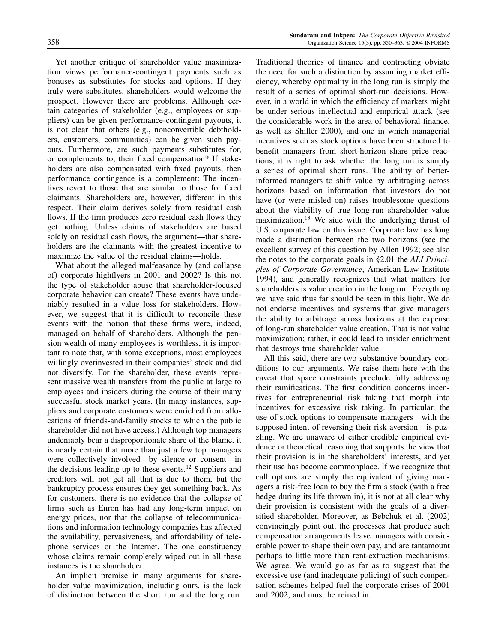Yet another critique of shareholder value maximization views performance-contingent payments such as bonuses as substitutes for stocks and options. If they truly were substitutes, shareholders would welcome the prospect. However there are problems. Although certain categories of stakeholder (e.g., employees or suppliers) can be given performance-contingent payouts, it is not clear that others (e.g., nonconvertible debtholders, customers, communities) can be given such payouts. Furthermore, are such payments substitutes for, or complements to, their fixed compensation? If stakeholders are also compensated with fixed payouts, then performance contingence is a complement: The incentives revert to those that are similar to those for fixed claimants. Shareholders are, however, different in this respect. Their claim derives solely from residual cash flows. If the firm produces zero residual cash flows they get nothing. Unless claims of stakeholders are based solely on residual cash flows, the argument—that shareholders are the claimants with the greatest incentive to maximize the value of the residual claims—holds.

What about the alleged malfeasance by (and collapse of) corporate highflyers in 2001 and 2002? Is this not the type of stakeholder abuse that shareholder-focused corporate behavior can create? These events have undeniably resulted in a value loss for stakeholders. However, we suggest that it is difficult to reconcile these events with the notion that these firms were, indeed, managed on behalf of shareholders. Although the pension wealth of many employees is worthless, it is important to note that, with some exceptions, most employees willingly overinvested in their companies' stock and did not diversify. For the shareholder, these events represent massive wealth transfers from the public at large to employees and insiders during the course of their many successful stock market years. (In many instances, suppliers and corporate customers were enriched from allocations of friends-and-family stocks to which the public shareholder did not have access.) Although top managers undeniably bear a disproportionate share of the blame, it is nearly certain that more than just a few top managers were collectively involved—by silence or consent—in the decisions leading up to these events.<sup>12</sup> Suppliers and creditors will not get all that is due to them, but the bankruptcy process ensures they get something back. As for customers, there is no evidence that the collapse of firms such as Enron has had any long-term impact on energy prices, nor that the collapse of telecommunications and information technology companies has affected the availability, pervasiveness, and affordability of telephone services or the Internet. The one constituency whose claims remain completely wiped out in all these instances is the shareholder.

An implicit premise in many arguments for shareholder value maximization, including ours, is the lack of distinction between the short run and the long run. Traditional theories of finance and contracting obviate the need for such a distinction by assuming market efficiency, whereby optimality in the long run is simply the result of a series of optimal short-run decisions. However, in a world in which the efficiency of markets might be under serious intellectual and empirical attack (see the considerable work in the area of behavioral finance, as well as Shiller 2000), and one in which managerial incentives such as stock options have been structured to benefit managers from short-horizon share price reactions, it is right to ask whether the long run is simply a series of optimal short runs. The ability of betterinformed managers to shift value by arbitraging across horizons based on information that investors do not have (or were misled on) raises troublesome questions about the viability of true long-run shareholder value maximization.<sup>13</sup> We side with the underlying thrust of U.S. corporate law on this issue: Corporate law has long made a distinction between the two horizons (see the excellent survey of this question by Allen 1992; see also the notes to the corporate goals in §2.01 the ALI Principles of Corporate Governance, American Law Institute 1994), and generally recognizes that what matters for shareholders is value creation in the long run. Everything we have said thus far should be seen in this light. We do not endorse incentives and systems that give managers the ability to arbitrage across horizons at the expense of long-run shareholder value creation. That is not value maximization; rather, it could lead to insider enrichment that destroys true shareholder value.

All this said, there are two substantive boundary conditions to our arguments. We raise them here with the caveat that space constraints preclude fully addressing their ramifications. The first condition concerns incentives for entrepreneurial risk taking that morph into incentives for excessive risk taking. In particular, the use of stock options to compensate managers—with the supposed intent of reversing their risk aversion—is puzzling. We are unaware of either credible empirical evidence or theoretical reasoning that supports the view that their provision is in the shareholders' interests, and yet their use has become commonplace. If we recognize that call options are simply the equivalent of giving managers a risk-free loan to buy the firm's stock (with a free hedge during its life thrown in), it is not at all clear why their provision is consistent with the goals of a diversified shareholder. Moreover, as Bebchuk et al. (2002) convincingly point out, the processes that produce such compensation arrangements leave managers with considerable power to shape their own pay, and are tantamount perhaps to little more than rent-extraction mechanisms. We agree. We would go as far as to suggest that the excessive use (and inadequate policing) of such compensation schemes helped fuel the corporate crises of 2001 and 2002, and must be reined in.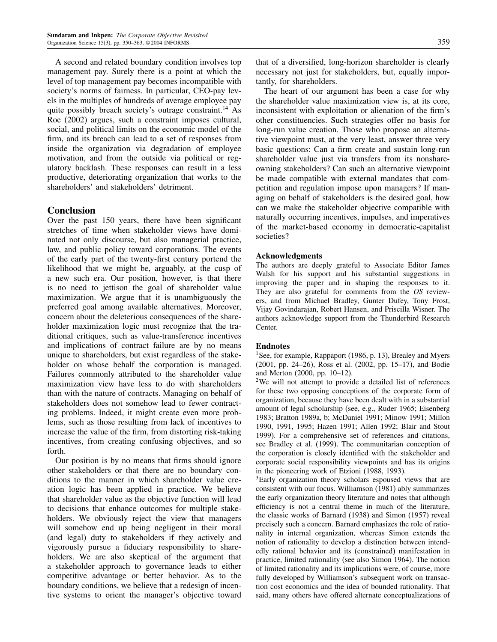A second and related boundary condition involves top management pay. Surely there is a point at which the level of top management pay becomes incompatible with society's norms of fairness. In particular, CEO-pay levels in the multiples of hundreds of average employee pay quite possibly breach society's outrage constraint.<sup>14</sup> As Roe (2002) argues, such a constraint imposes cultural, social, and political limits on the economic model of the firm, and its breach can lead to a set of responses from inside the organization via degradation of employee motivation, and from the outside via political or regulatory backlash. These responses can result in a less productive, deteriorating organization that works to the shareholders' and stakeholders' detriment.

### Conclusion

Over the past 150 years, there have been significant stretches of time when stakeholder views have dominated not only discourse, but also managerial practice, law, and public policy toward corporations. The events of the early part of the twenty-first century portend the likelihood that we might be, arguably, at the cusp of a new such era. Our position, however, is that there is no need to jettison the goal of shareholder value maximization. We argue that it is unambiguously the preferred goal among available alternatives. Moreover, concern about the deleterious consequences of the shareholder maximization logic must recognize that the traditional critiques, such as value-transference incentives and implications of contract failure are by no means unique to shareholders, but exist regardless of the stakeholder on whose behalf the corporation is managed. Failures commonly attributed to the shareholder value maximization view have less to do with shareholders than with the nature of contracts. Managing on behalf of stakeholders does not somehow lead to fewer contracting problems. Indeed, it might create even more problems, such as those resulting from lack of incentives to increase the value of the firm, from distorting risk-taking incentives, from creating confusing objectives, and so forth.

Our position is by no means that firms should ignore other stakeholders or that there are no boundary conditions to the manner in which shareholder value creation logic has been applied in practice. We believe that shareholder value as the objective function will lead to decisions that enhance outcomes for multiple stakeholders. We obviously reject the view that managers will somehow end up being negligent in their moral (and legal) duty to stakeholders if they actively and vigorously pursue a fiduciary responsibility to shareholders. We are also skeptical of the argument that a stakeholder approach to governance leads to either competitive advantage or better behavior. As to the boundary conditions, we believe that a redesign of incentive systems to orient the manager's objective toward

that of a diversified, long-horizon shareholder is clearly necessary not just for stakeholders, but, equally importantly, for shareholders.

The heart of our argument has been a case for why the shareholder value maximization view is, at its core, inconsistent with exploitation or alienation of the firm's other constituencies. Such strategies offer no basis for long-run value creation. Those who propose an alternative viewpoint must, at the very least, answer three very basic questions: Can a firm create and sustain long-run shareholder value just via transfers from its nonshareowning stakeholders? Can such an alternative viewpoint be made compatible with external mandates that competition and regulation impose upon managers? If managing on behalf of stakeholders is the desired goal, how can we make the stakeholder objective compatible with naturally occurring incentives, impulses, and imperatives of the market-based economy in democratic-capitalist societies?

#### Acknowledgments

The authors are deeply grateful to Associate Editor James Walsh for his support and his substantial suggestions in improving the paper and in shaping the responses to it. They are also grateful for comments from the OS reviewers, and from Michael Bradley, Gunter Dufey, Tony Frost, Vijay Govindarajan, Robert Hansen, and Priscilla Wisner. The authors acknowledge support from the Thunderbird Research Center.

#### Endnotes

<sup>1</sup>See, for example, Rappaport (1986, p. 13), Brealey and Myers (2001, pp. 24–26), Ross et al. (2002, pp. 15–17), and Bodie and Merton (2000, pp. 10–12).

<sup>2</sup>We will not attempt to provide a detailed list of references for these two opposing conceptions of the corporate form of organization, because they have been dealt with in a substantial amount of legal scholarship (see, e.g., Ruder 1965; Eisenberg 1983; Bratton 1989a, b; McDaniel 1991; Minow 1991; Millon 1990, 1991, 1995; Hazen 1991; Allen 1992; Blair and Stout 1999). For a comprehensive set of references and citations, see Bradley et al. (1999). The communitarian conception of the corporation is closely identified with the stakeholder and corporate social responsibility viewpoints and has its origins in the pioneering work of Etzioni (1988, 1993).

3Early organization theory scholars espoused views that are consistent with our focus. Williamson (1981) ably summarizes the early organization theory literature and notes that although efficiency is not a central theme in much of the literature, the classic works of Barnard (1938) and Simon (1957) reveal precisely such a concern. Barnard emphasizes the role of rationality in internal organization, whereas Simon extends the notion of rationality to develop a distinction between intendedly rational behavior and its (constrained) manifestation in practice, limited rationality (see also Simon 1964). The notion of limited rationality and its implications were, of course, more fully developed by Williamson's subsequent work on transaction cost economics and the idea of bounded rationality. That said, many others have offered alternate conceptualizations of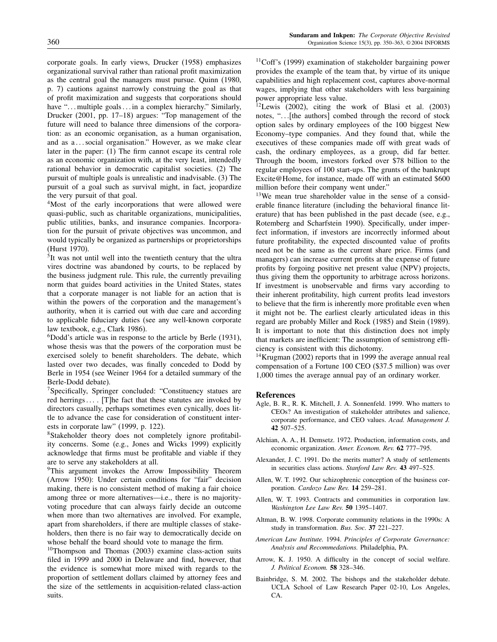corporate goals. In early views, Drucker (1958) emphasizes organizational survival rather than rational profit maximization as the central goal the managers must pursue. Quinn (1980, p. 7) cautions against narrowly construing the goal as that of profit maximization and suggests that corporations should have "... multiple goals... in a complex hierarchy." Similarly, Drucker (2001, pp. 17–18) argues: "Top management of the future will need to balance three dimensions of the corporation: as an economic organisation, as a human organisation, and as a ... social organisation." However, as we make clear later in the paper: (1) The firm cannot escape its central role as an economic organization with, at the very least, intendedly rational behavior in democratic capitalist societies. (2) The pursuit of multiple goals is unrealistic and inadvisable. (3) The pursuit of a goal such as survival might, in fact, jeopardize the very pursuit of that goal.

<sup>4</sup>Most of the early incorporations that were allowed were quasi-public, such as charitable organizations, municipalities, public utilities, banks, and insurance companies. Incorporation for the pursuit of private objectives was uncommon, and would typically be organized as partnerships or proprietorships (Hurst 1970).

<sup>5</sup>It was not until well into the twentieth century that the ultra vires doctrine was abandoned by courts, to be replaced by the business judgment rule. This rule, the currently prevailing norm that guides board activities in the United States, states that a corporate manager is not liable for an action that is within the powers of the corporation and the management's authority, when it is carried out with due care and according to applicable fiduciary duties (see any well-known corporate law textbook, e.g., Clark 1986).

<sup>6</sup>Dodd's article was in response to the article by Berle (1931), whose thesis was that the powers of the corporation must be exercised solely to benefit shareholders. The debate, which lasted over two decades, was finally conceded to Dodd by Berle in 1954 (see Weiner 1964 for a detailed summary of the Berle-Dodd debate).

<sup>7</sup>Specifically, Springer concluded: "Constituency statues are red herrings  $\ldots$  [T]he fact that these statutes are invoked by directors casually, perhaps sometimes even cynically, does little to advance the case for consideration of constituent interests in corporate law" (1999, p. 122).

<sup>8</sup>Stakeholder theory does not completely ignore profitability concerns. Some (e.g., Jones and Wicks 1999) explicitly acknowledge that firms must be profitable and viable if they are to serve any stakeholders at all.

<sup>9</sup>This argument invokes the Arrow Impossibility Theorem (Arrow 1950): Under certain conditions for "fair" decision making, there is no consistent method of making a fair choice among three or more alternatives—i.e., there is no majorityvoting procedure that can always fairly decide an outcome when more than two alternatives are involved. For example, apart from shareholders, if there are multiple classes of stakeholders, then there is no fair way to democratically decide on whose behalf the board should vote to manage the firm.

 $10$ Thompson and Thomas (2003) examine class-action suits filed in 1999 and 2000 in Delaware and find, however, that the evidence is somewhat more mixed with regards to the proportion of settlement dollars claimed by attorney fees and the size of the settlements in acquisition-related class-action suits.

 $11$ Coff's (1999) examination of stakeholder bargaining power provides the example of the team that, by virtue of its unique capabilities and high replacement cost, captures above-normal wages, implying that other stakeholders with less bargaining power appropriate less value.

 $12$ Lewis (2002), citing the work of Blasi et al. (2003) notes, "... [the authors] combed through the record of stock option sales by ordinary employees of the 100 biggest New Economy–type companies. And they found that, while the executives of these companies made off with great wads of cash, the ordinary employees, as a group, did far better. Through the boom, investors forked over \$78 billion to the regular employees of 100 start-ups. The grunts of the bankrupt Excite@Home, for instance, made off with an estimated \$600 million before their company went under."

<sup>13</sup>We mean true shareholder value in the sense of a considerable finance literature (including the behavioral finance literature) that has been published in the past decade (see, e.g., Rotemberg and Scharfstein 1990). Specifically, under imperfect information, if investors are incorrectly informed about future profitability, the expected discounted value of profits need not be the same as the current share price. Firms (and managers) can increase current profits at the expense of future profits by forgoing positive net present value (NPV) projects, thus giving them the opportunity to arbitrage across horizons. If investment is unobservable and firms vary according to their inherent profitability, high current profits lead investors to believe that the firm is inherently more profitable even when it might not be. The earliest clearly articulated ideas in this regard are probably Miller and Rock (1985) and Stein (1989). It is important to note that this distinction does not imply that markets are inefficient: The assumption of semistrong efficiency is consistent with this dichotomy.

<sup>14</sup>Krugman (2002) reports that in 1999 the average annual real compensation of a Fortune 100 CEO (\$37.5 million) was over 1,000 times the average annual pay of an ordinary worker.

#### References

- Agle, B. R., R. K. Mitchell, J. A. Sonnenfeld. 1999. Who matters to CEOs? An investigation of stakeholder attributes and salience, corporate performance, and CEO values. Acad. Management J. 42 507–525.
- Alchian, A. A., H. Demsetz. 1972. Production, information costs, and economic organization. Amer. Econom. Rev. 62 777–795.
- Alexander, J. C. 1991. Do the merits matter? A study of settlements in securities class actions. Stanford Law Rev. 43 497–525.
- Allen, W. T. 1992. Our schizophrenic conception of the business corporation. Cardozo Law Rev. 14 259–281.
- Allen, W. T. 1993. Contracts and communities in corporation law. Washington Lee Law Rev. 50 1395–1407.
- Altman, B. W. 1998. Corporate community relations in the 1990s: A study in transformation. Bus. Soc. 37 221–227.
- American Law Institute. 1994. Principles of Corporate Governance: Analysis and Recommedations. Philadelphia, PA.
- Arrow, K. J. 1950. A difficulty in the concept of social welfare. J. Political Econom. 58 328–346.
- Bainbridge, S. M. 2002. The bishops and the stakeholder debate. UCLA School of Law Research Paper 02-10, Los Angeles, CA.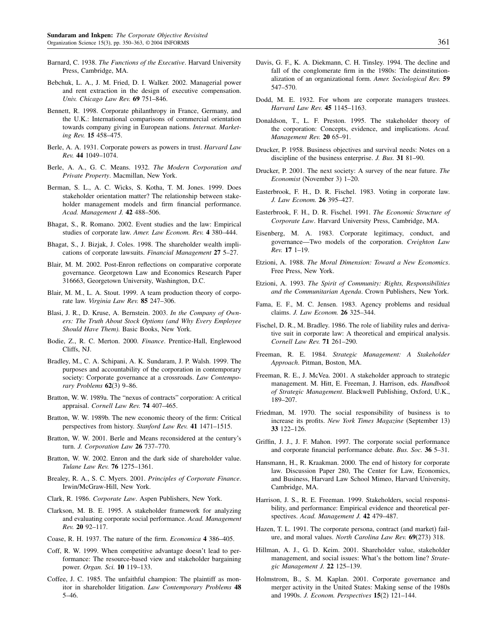- Barnard, C. 1938. The Functions of the Executive. Harvard University Press, Cambridge, MA.
- Bebchuk, L. A., J. M. Fried, D. I. Walker. 2002. Managerial power and rent extraction in the design of executive compensation. Univ. Chicago Law Rev. 69 751–846.
- Bennett, R. 1998. Corporate philanthropy in France, Germany, and the U.K.: International comparisons of commercial orientation towards company giving in European nations. Internat. Marketing Rev. 15 458–475.
- Berle, A. A. 1931. Corporate powers as powers in trust. Harvard Law Rev. 44 1049–1074.
- Berle, A. A., G. C. Means. 1932. The Modern Corporation and Private Property. Macmillan, New York.
- Berman, S. L., A. C. Wicks, S. Kotha, T. M. Jones. 1999. Does stakeholder orientation matter? The relationship between stakeholder management models and firm financial performance. Acad. Management J. 42 488–506.
- Bhagat, S., R. Romano. 2002. Event studies and the law: Empirical studies of corporate law. Amer. Law Econom. Rev. 4 380–444.
- Bhagat, S., J. Bizjak, J. Coles. 1998. The shareholder wealth implications of corporate lawsuits. Financial Management 27 5–27.
- Blair, M. M. 2002. Post-Enron reflections on comparative corporate governance. Georgetown Law and Economics Research Paper 316663, Georgetown University, Washington, D.C.
- Blair, M. M., L. A. Stout. 1999. A team production theory of corporate law. Virginia Law Rev. 85 247–306.
- Blasi, J. R., D. Kruse, A. Bernstein. 2003. In the Company of Owners: The Truth About Stock Options (and Why Every Employee Should Have Them). Basic Books, New York.
- Bodie, Z., R. C. Merton. 2000. Finance. Prentice-Hall, Englewood Cliffs, NJ.
- Bradley, M., C. A. Schipani, A. K. Sundaram, J. P. Walsh. 1999. The purposes and accountability of the corporation in contemporary society: Corporate governance at a crossroads. Law Contemporary Problems 62(3) 9–86.
- Bratton, W. W. 1989a. The "nexus of contracts" corporation: A critical appraisal. Cornell Law Rev. 74 407–465.
- Bratton, W. W. 1989b. The new economic theory of the firm: Critical perspectives from history. Stanford Law Rev. 41 1471-1515.
- Bratton, W. W. 2001. Berle and Means reconsidered at the century's turn. J. Corporation Law 26 737-770.
- Bratton, W. W. 2002. Enron and the dark side of shareholder value. Tulane Law Rev. 76 1275–1361.
- Brealey, R. A., S. C. Myers. 2001. Principles of Corporate Finance. Irwin/McGraw-Hill, New York.
- Clark, R. 1986. Corporate Law. Aspen Publishers, New York.
- Clarkson, M. B. E. 1995. A stakeholder framework for analyzing and evaluating corporate social performance. Acad. Management Rev. 20 92–117.
- Coase, R. H. 1937. The nature of the firm. Economica 4 386–405.
- Coff, R. W. 1999. When competitive advantage doesn't lead to performance: The resource-based view and stakeholder bargaining power. Organ. Sci. 10 119–133.
- Coffee, J. C. 1985. The unfaithful champion: The plaintiff as monitor in shareholder litigation. Law Contemporary Problems 48 5–46.
- Davis, G. F., K. A. Diekmann, C. H. Tinsley. 1994. The decline and fall of the conglomerate firm in the 1980s: The deinstitutionalization of an organizational form. Amer. Sociological Rev. 59 547–570.
- Dodd, M. E. 1932. For whom are corporate managers trustees. Harvard Law Rev. 45 1145–1163.
- Donaldson, T., L. F. Preston. 1995. The stakeholder theory of the corporation: Concepts, evidence, and implications. Acad. Management Rev. 20 65–91.
- Drucker, P. 1958. Business objectives and survival needs: Notes on a discipline of the business enterprise. J. Bus. 31 81–90.
- Drucker, P. 2001. The next society: A survey of the near future. The Economist (November 3) 1–20.
- Easterbrook, F. H., D. R. Fischel. 1983. Voting in corporate law. J. Law Econom. 26 395–427.
- Easterbrook, F. H., D. R. Fischel. 1991. The Economic Structure of Corporate Law. Harvard University Press, Cambridge, MA.
- Eisenberg, M. A. 1983. Corporate legitimacy, conduct, and governance—Two models of the corporation. Creighton Law Rev. 17 1–19.
- Etzioni, A. 1988. The Moral Dimension: Toward a New Economics. Free Press, New York.
- Etzioni, A. 1993. The Spirit of Community: Rights, Responsibilities and the Communitarian Agenda. Crown Publishers, New York.
- Fama, E. F., M. C. Jensen. 1983. Agency problems and residual claims. J. Law Econom. 26 325–344.
- Fischel, D. R., M. Bradley. 1986. The role of liability rules and derivative suit in corporate law: A theoretical and empirical analysis. Cornell Law Rev. 71 261–290.
- Freeman, R. E. 1984. Strategic Management: A Stakeholder Approach. Pitman, Boston, MA.
- Freeman, R. E., J. McVea. 2001. A stakeholder approach to strategic management. M. Hitt, E. Freeman, J. Harrison, eds. Handbook of Strategic Management. Blackwell Publishing, Oxford, U.K., 189–207.
- Friedman, M. 1970. The social responsibility of business is to increase its profits. New York Times Magazine (September 13) 33 122–126.
- Griffin, J. J., J. F. Mahon. 1997. The corporate social performance and corporate financial performance debate. Bus. Soc. 36 5–31.
- Hansmann, H., R. Kraakman. 2000. The end of history for corporate law. Discussion Paper 280, The Center for Law, Economics, and Business, Harvard Law School Mimeo, Harvard University, Cambridge, MA.
- Harrison, J. S., R. E. Freeman. 1999. Stakeholders, social responsibility, and performance: Empirical evidence and theoretical perspectives. Acad. Management J. 42 479-487.
- Hazen, T. L. 1991. The corporate persona, contract (and market) failure, and moral values. North Carolina Law Rev. 69(273) 318.
- Hillman, A. J., G. D. Keim. 2001. Shareholder value, stakeholder management, and social issues: What's the bottom line? Strategic Management J. 22 125–139.
- Holmstrom, B., S. M. Kaplan. 2001. Corporate governance and merger activity in the United States: Making sense of the 1980s and 1990s. J. Econom. Perspectives 15(2) 121–144.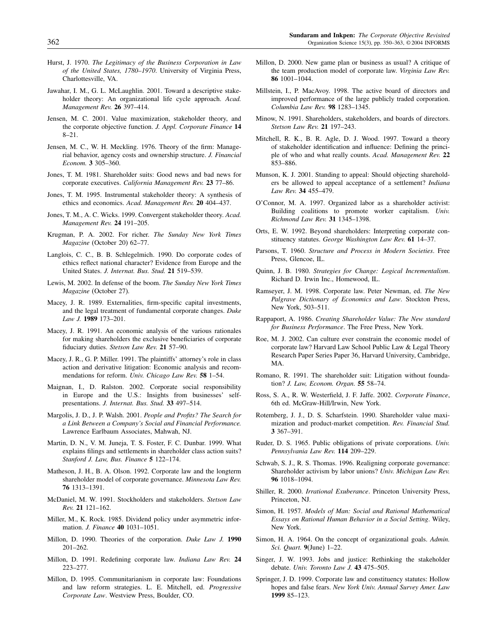- Hurst, J. 1970. The Legitimacy of the Business Corporation in Law of the United States, 1780-1970. University of Virginia Press, Charlottesville, VA.
- Jawahar, I. M., G. L. McLaughlin. 2001. Toward a descriptive stakeholder theory: An organizational life cycle approach. Acad. Management Rev. 26 397–414.
- Jensen, M. C. 2001. Value maximization, stakeholder theory, and the corporate objective function. J. Appl. Corporate Finance 14 8–21.
- Jensen, M. C., W. H. Meckling. 1976. Theory of the firm: Managerial behavior, agency costs and ownership structure. J. Financial Econom. 3 305–360.
- Jones, T. M. 1981. Shareholder suits: Good news and bad news for corporate executives. California Management Rev. 23 77–86.
- Jones, T. M. 1995. Instrumental stakeholder theory: A synthesis of ethics and economics. Acad. Management Rev. 20 404–437.
- Jones, T. M., A. C. Wicks. 1999. Convergent stakeholder theory. Acad. Management Rev. 24 191–205.
- Krugman, P. A. 2002. For richer. The Sunday New York Times Magazine (October 20) 62–77.
- Langlois, C. C., B. B. Schlegelmich. 1990. Do corporate codes of ethics reflect national character? Evidence from Europe and the United States. J. Internat. Bus. Stud. 21 519–539.
- Lewis, M. 2002. In defense of the boom. The Sunday New York Times Magazine (October 27).
- Macey, J. R. 1989. Externalities, firm-specific capital investments, and the legal treatment of fundamental corporate changes. Duke Law J. 1989 173–201.
- Macey, J. R. 1991. An economic analysis of the various rationales for making shareholders the exclusive beneficiaries of corporate fiduciary duties. Stetson Law Rev. 21 57–90.
- Macey, J. R., G. P. Miller. 1991. The plaintiffs' attorney's role in class action and derivative litigation: Economic analysis and recommendations for reform. Univ. Chicago Law Rev. 58 1-54.
- Maignan, I., D. Ralston. 2002. Corporate social responsibility in Europe and the U.S.: Insights from businesses' selfpresentations. J. Internat. Bus. Stud. 33 497–514.
- Margolis, J. D., J. P. Walsh. 2001. People and Profits? The Search for a Link Between a Company's Social and Financial Performance. Lawrence Earlbaum Associates, Mahwah, NJ.
- Martin, D. N., V. M. Juneja, T. S. Foster, F. C. Dunbar. 1999. What explains filings and settlements in shareholder class action suits? Stanford J. Law, Bus. Finance 5 122-174.
- Matheson, J. H., B. A. Olson. 1992. Corporate law and the longterm shareholder model of corporate governance. Minnesota Law Rev. 76 1313–1391.
- McDaniel, M. W. 1991. Stockholders and stakeholders. Stetson Law Rev. 21 121–162.
- Miller, M., K. Rock. 1985. Dividend policy under asymmetric information. J. Finance 40 1031–1051.
- Millon, D. 1990. Theories of the corporation. Duke Law J. 1990 201–262.
- Millon, D. 1991. Redefining corporate law. Indiana Law Rev. 24 223–277.
- Millon, D. 1995. Communitarianism in corporate law: Foundations and law reform strategies. L. E. Mitchell, ed. Progressive Corporate Law. Westview Press, Boulder, CO.
- Millon, D. 2000. New game plan or business as usual? A critique of the team production model of corporate law. Virginia Law Rev. 86 1001–1044.
- Millstein, I., P. MacAvoy. 1998. The active board of directors and improved performance of the large publicly traded corporation. Columbia Law Rev. 98 1283–1345.
- Minow, N. 1991. Shareholders, stakeholders, and boards of directors. Stetson Law Rev. 21 197–243.
- Mitchell, R. K., B. R. Agle, D. J. Wood. 1997. Toward a theory of stakeholder identification and influence: Defining the principle of who and what really counts. Acad. Management Rev. 22 853–886.
- Munson, K. J. 2001. Standing to appeal: Should objecting shareholders be allowed to appeal acceptance of a settlement? Indiana Law Rev. 34 455–479.
- O'Connor, M. A. 1997. Organized labor as a shareholder activist: Building coalitions to promote worker capitalism. Univ. Richmond Law Rev. 31 1345–1398.
- Orts, E. W. 1992. Beyond shareholders: Interpreting corporate constituency statutes. George Washington Law Rev. 61 14-37.
- Parsons, T. 1960. Structure and Process in Modern Societies. Free Press, Glencoe, IL.
- Quinn, J. B. 1980. Strategies for Change: Logical Incrementalism. Richard D. Irwin Inc., Homewood, IL.
- Ramseyer, J. M. 1998. Corporate law. Peter Newman, ed. The New Palgrave Dictionary of Economics and Law. Stockton Press, New York, 503–511.
- Rappaport, A. 1986. Creating Shareholder Value: The New standard for Business Performance. The Free Press, New York.
- Roe, M. J. 2002. Can culture ever constrain the economic model of corporate law? Harvard Law School Public Law & Legal Theory Research Paper Series Paper 36, Harvard University, Cambridge, MA.
- Romano, R. 1991. The shareholder suit: Litigation without foundation? J. Law, Econom. Organ. 55 58–74.
- Ross, S. A., R. W. Westerfield, J. F. Jaffe. 2002. Corporate Finance, 6th ed. McGraw-Hill/Irwin, New York.
- Rotemberg, J. J., D. S. Scharfstein. 1990. Shareholder value maximization and product-market competition. Rev. Financial Stud. 3 367–391.
- Ruder, D. S. 1965. Public obligations of private corporations. Univ. Pennsylvania Law Rev. 114 209–229.
- Schwab, S. J., R. S. Thomas. 1996. Realigning corporate governance: Shareholder activism by labor unions? Univ. Michigan Law Rev. 96 1018–1094.
- Shiller, R. 2000. Irrational Exuberance. Princeton University Press, Princeton, NJ.
- Simon, H. 1957. Models of Man: Social and Rational Mathematical Essays on Rational Human Behavior in a Social Setting. Wiley, New York.
- Simon, H. A. 1964. On the concept of organizational goals. Admin. Sci. Quart. 9(June) 1–22.
- Singer, J. W. 1993. Jobs and justice: Rethinking the stakeholder debate. Univ. Toronto Law J. 43 475-505.
- Springer, J. D. 1999. Corporate law and constituency statutes: Hollow hopes and false fears. New York Univ. Annual Survey Amer. Law 1999 85–123.